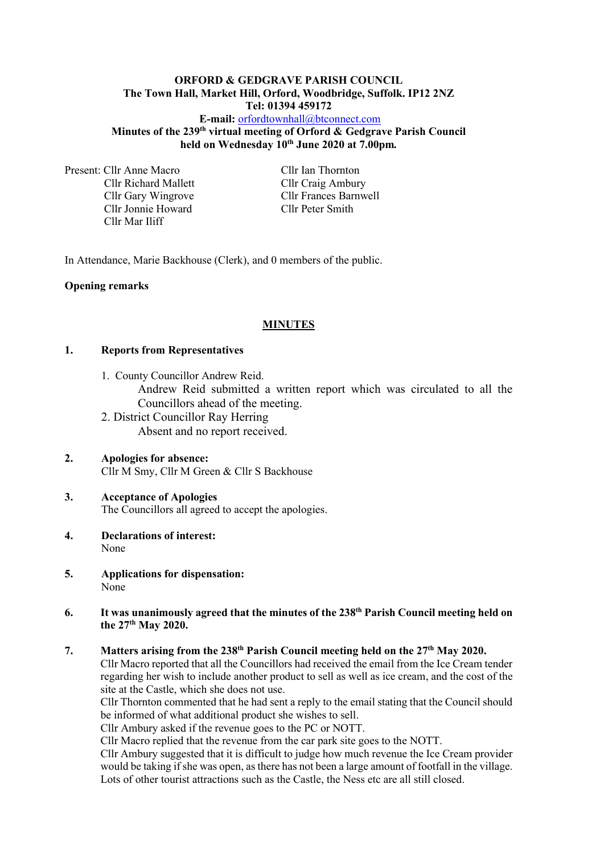#### **ORFORD & GEDGRAVE PARISH COUNCIL The Town Hall, Market Hill, Orford, Woodbridge, Suffolk. IP12 2NZ Tel: 01394 459172 E-mail:** [orfordtownhall@btconnect.com](mailto:orfordtownhall@btconnect.com)

**Minutes of the 239 th virtual meeting of Orford & Gedgrave Parish Council held on Wednesday 10th June 2020 at 7.00pm***.*

Present: Cllr Anne Macro Cllr Ian Thornton Cllr Richard Mallett Cllr Craig Ambury Cllr Jonnie Howard Cllr Peter Smith Cllr Mar Iliff

Cllr Gary Wingrove Cllr Frances Barnwell

In Attendance, Marie Backhouse (Clerk), and 0 members of the public.

## **Opening remarks**

#### **MINUTES**

#### **1. Reports from Representatives**

- 1. County Councillor Andrew Reid. Andrew Reid submitted a written report which was circulated to all the Councillors ahead of the meeting. 2. District Councillor Ray Herring
- Absent and no report received.
- **2. Apologies for absence:** Cllr M Smy, Cllr M Green & Cllr S Backhouse
- **3. Acceptance of Apologies** The Councillors all agreed to accept the apologies.
- **4. Declarations of interest:** None
- **5. Applications for dispensation:** None
- **6. It was unanimously agreed that the minutes of the 238 th Parish Council meeting held on the 27th May 2020.**

#### **7. Matters arising from the 238 th Parish Council meeting held on the 27th May 2020.**

Cllr Macro reported that all the Councillors had received the email from the Ice Cream tender regarding her wish to include another product to sell as well as ice cream, and the cost of the site at the Castle, which she does not use.

Cllr Thornton commented that he had sent a reply to the email stating that the Council should be informed of what additional product she wishes to sell.

Cllr Ambury asked if the revenue goes to the PC or NOTT.

Cllr Macro replied that the revenue from the car park site goes to the NOTT.

Cllr Ambury suggested that it is difficult to judge how much revenue the Ice Cream provider would be taking if she was open, as there has not been a large amount of footfall in the village. Lots of other tourist attractions such as the Castle, the Ness etc are all still closed.